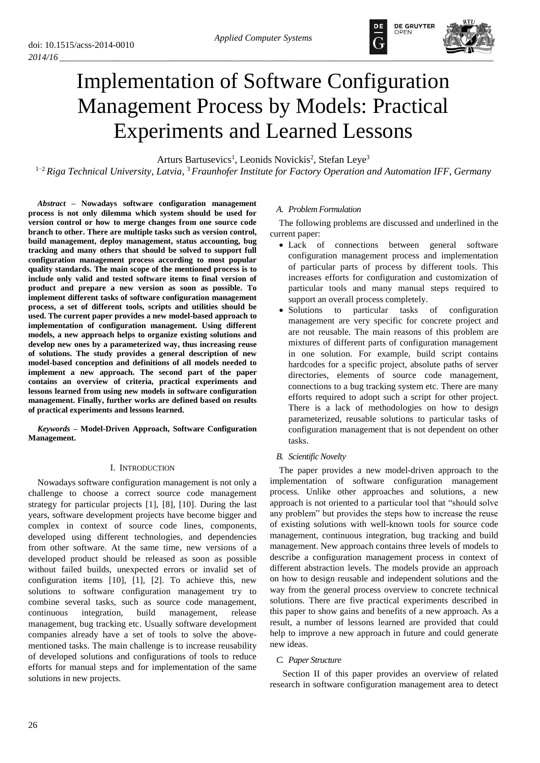

# Implementation of Software Configuration Management Process by Models: Practical Experiments and Learned Lessons

Arturs Bartusevics<sup>1</sup>, Leonids Novickis<sup>2</sup>, Stefan Leye<sup>3</sup>

<sup>1</sup>*–*<sup>2</sup>*Riga Technical University*, *Latvia*, <sup>3</sup>*Fraunhofer Institute for Factory Operation and Automation IFF*, *Germany*

*Abstract –* **Nowadays software configuration management process is not only dilemma which system should be used for version control or how to merge changes from one source code branch to other. There are multiple tasks such as version control, build management, deploy management, status accounting, bug tracking and many others that should be solved to support full configuration management process according to most popular quality standards. The main scope of the mentioned process is to include only valid and tested software items to final version of product and prepare a new version as soon as possible. To implement different tasks of software configuration management process, a set of different tools, scripts and utilities should be used. The current paper provides a new model-based approach to implementation of configuration management. Using different models, a new approach helps to organize existing solutions and develop new ones by a parameterized way, thus increasing reuse of solutions. The study provides a general description of new model-based conception and definitions of all models needed to implement a new approach. The second part of the paper contains an overview of criteria, practical experiments and lessons learned from using new models in software configuration management. Finally, further works are defined based on results of practical experiments and lessons learned.**

*Keywords* **– Model-Driven Approach, Software Configuration Management.**

# I. INTRODUCTION

Nowadays software configuration management is not only a challenge to choose a correct source code management strategy for particular projects [1], [8], [10]. During the last years, software development projects have become bigger and complex in context of source code lines, components, developed using different technologies, and dependencies from other software. At the same time, new versions of a developed product should be released as soon as possible without failed builds, unexpected errors or invalid set of configuration items [10], [1], [2]. To achieve this, new solutions to software configuration management try to combine several tasks, such as source code management, continuous integration, build management, release management, bug tracking etc. Usually software development companies already have a set of tools to solve the abovementioned tasks. The main challenge is to increase reusability of developed solutions and configurations of tools to reduce efforts for manual steps and for implementation of the same solutions in new projects.

# *A. Problem Formulation*

The following problems are discussed and underlined in the current paper:

- Lack of connections between general software configuration management process and implementation of particular parts of process by different tools. This increases efforts for configuration and customization of particular tools and many manual steps required to support an overall process completely.
- Solutions to particular tasks of configuration management are very specific for concrete project and are not reusable. The main reasons of this problem are mixtures of different parts of configuration management in one solution. For example, build script contains hardcodes for a specific project, absolute paths of server directories, elements of source code management, connections to a bug tracking system etc. There are many efforts required to adopt such a script for other project. There is a lack of methodologies on how to design parameterized, reusable solutions to particular tasks of configuration management that is not dependent on other tasks.

# *B. Scientific Novelty*

The paper provides a new model-driven approach to the implementation of software configuration management process. Unlike other approaches and solutions, a new approach is not oriented to a particular tool that "should solve any problem" but provides the steps how to increase the reuse of existing solutions with well-known tools for source code management, continuous integration, bug tracking and build management. New approach contains three levels of models to describe a configuration management process in context of different abstraction levels. The models provide an approach on how to design reusable and independent solutions and the way from the general process overview to concrete technical solutions. There are five practical experiments described in this paper to show gains and benefits of a new approach. As a result, a number of lessons learned are provided that could help to improve a new approach in future and could generate new ideas.

### *C. Paper Structure*

Section II of this paper provides an overview of related research in software configuration management area to detect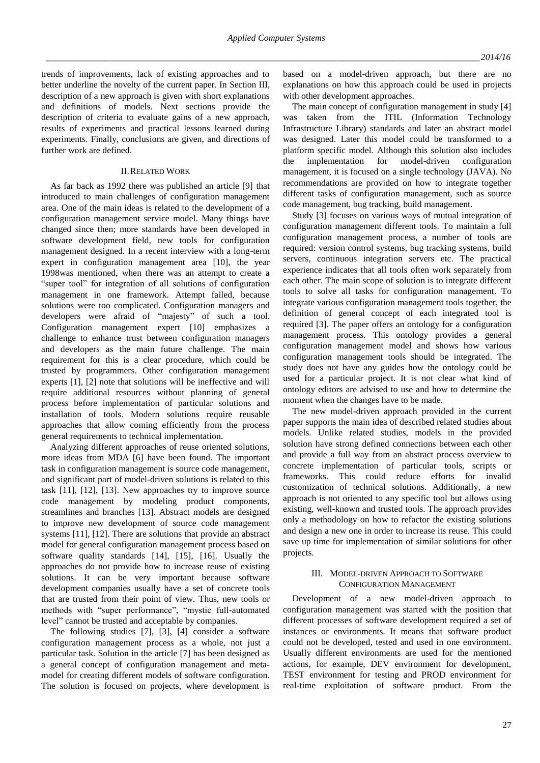trends of improvements, lack of existing approaches and to better underline the novelty of the current paper. In Section III, description of a new approach is given with short explanations and definitions of models. Next sections provide the description of criteria to evaluate gains of a new approach, results of experiments and practical lessons learned during experiments. Finally, conclusions are given, and directions of further work are defined.

#### II.RELATED WORK

As far back as 1992 there was published an article [9] that introduced to main challenges of configuration management area. One of the main ideas is related to the development of a configuration management service model. Many things have changed since then; more standards have been developed in software development field, new tools for configuration management designed. In a recent interview with a long-term expert in configuration management area [10], the year 1998was mentioned, when there was an attempt to create a "super tool" for integration of all solutions of configuration management in one framework. Attempt failed, because solutions were too complicated. Configuration managers and developers were afraid of "majesty" of such a tool. Configuration management expert [10] emphasizes a challenge to enhance trust between configuration managers and developers as the main future challenge. The main requirement for this is a clear procedure, which could be trusted by programmers. Other configuration management experts [1], [2] note that solutions will be ineffective and will require additional resources without planning of general process before implementation of particular solutions and installation of tools. Modern solutions require reusable approaches that allow coming efficiently from the process general requirements to technical implementation.

Analyzing different approaches of reuse oriented solutions, more ideas from MDA [6] have been found. The important task in configuration management is source code management, and significant part of model-driven solutions is related to this task [11], [12], [13]. New approaches try to improve source code management by modeling product components, streamlines and branches [13]. Abstract models are designed to improve new development of source code management systems [11], [12]. There are solutions that provide an abstract model for general configuration management process based on software quality standards [14], [15], [16]. Usually the approaches do not provide how to increase reuse of existing solutions. It can be very important because software development companies usually have a set of concrete tools that are trusted from their point of view. Thus, new tools or methods with "super performance", "mystic full-automated level" cannot be trusted and acceptable by companies.

The following studies [7], [3], [4] consider a software configuration management process as a whole, not just a particular task. Solution in the article [7] has been designed as a general concept of configuration management and metamodel for creating different models of software configuration. The solution is focused on projects, where development is

based on a model-driven approach, but there are no explanations on how this approach could be used in projects with other development approaches.

The main concept of configuration management in study [4] was taken from the ITIL (Information Technology Infrastructure Library) standards and later an abstract model was designed. Later this model could be transformed to a platform specific model. Although this solution also includes the implementation for model-driven configuration management, it is focused on a single technology (JAVA). No recommendations are provided on how to integrate together different tasks of configuration management, such as source code management, bug tracking, build management.

Study [3] focuses on various ways of mutual integration of configuration management different tools. To maintain a full configuration management process, a number of tools are required: version control systems, bug tracking systems, build servers, continuous integration servers etc. The practical experience indicates that all tools often work separately from each other. The main scope of solution is to integrate different tools to solve all tasks for configuration management. To integrate various configuration management tools together, the definition of general concept of each integrated tool is required [3]. The paper offers an ontology for a configuration management process. This ontology provides a general configuration management model and shows how various configuration management tools should be integrated. The study does not have any guides how the ontology could be used for a particular project. It is not clear what kind of ontology editors are advised to use and how to determine the moment when the changes have to be made.

The new model-driven approach provided in the current paper supports the main idea of described related studies about models. Unlike related studies, models in the provided solution have strong defined connections between each other and provide a full way from an abstract process overview to concrete implementation of particular tools, scripts or frameworks. This could reduce efforts for invalid customization of technical solutions. Additionally, a new approach is not oriented to any specific tool but allows using existing, well-known and trusted tools. The approach provides only a methodology on how to refactor the existing solutions and design a new one in order to increase its reuse. This could save up time for implementation of similar solutions for other projects.

#### III. MODEL-DRIVEN APPROACH TO SOFTWARE CONFIGURATION MANAGEMENT

Development of a new model-driven approach to configuration management was started with the position that different processes of software development required a set of instances or environments. It means that software product could not be developed, tested and used in one environment. Usually different environments are used for the mentioned actions, for example, DEV environment for development, TEST environment for testing and PROD environment for real-time exploitation of software product. From the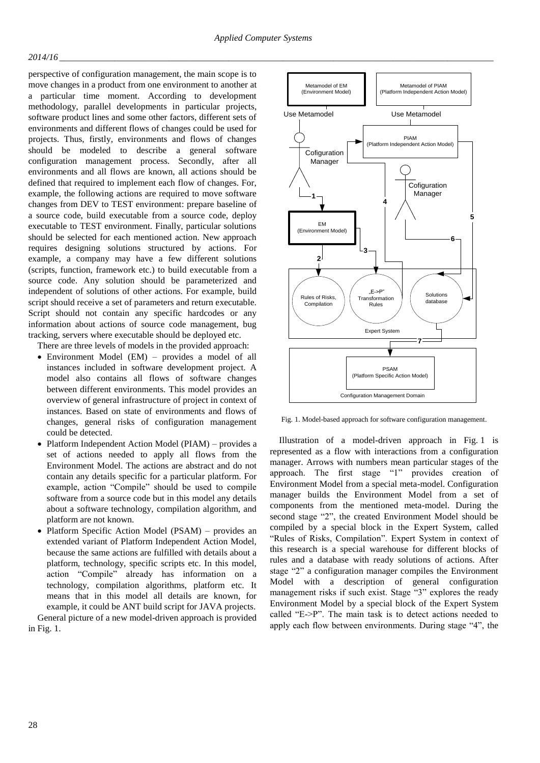perspective of configuration management, the main scope is to move changes in a product from one environment to another at a particular time moment. According to development methodology, parallel developments in particular projects, software product lines and some other factors, different sets of environments and different flows of changes could be used for projects. Thus, firstly, environments and flows of changes should be modeled to describe a general software configuration management process. Secondly, after all environments and all flows are known, all actions should be defined that required to implement each flow of changes. For, example, the following actions are required to move software changes from DEV to TEST environment: prepare baseline of a source code, build executable from a source code, deploy executable to TEST environment. Finally, particular solutions should be selected for each mentioned action. New approach requires designing solutions structured by actions. For example, a company may have a few different solutions (scripts, function, framework etc.) to build executable from a source code. Any solution should be parameterized and independent of solutions of other actions. For example, build script should receive a set of parameters and return executable. Script should not contain any specific hardcodes or any information about actions of source code management, bug tracking, servers where executable should be deployed etc.

There are three levels of models in the provided approach:

- Environment Model (EM) provides a model of all instances included in software development project. A model also contains all flows of software changes between different environments. This model provides an overview of general infrastructure of project in context of instances. Based on state of environments and flows of changes, general risks of configuration management could be detected.
- Platform Independent Action Model (PIAM) provides a set of actions needed to apply all flows from the Environment Model. The actions are abstract and do not contain any details specific for a particular platform. For example, action "Compile" should be used to compile software from a source code but in this model any details about a software technology, compilation algorithm, and platform are not known.
- Platform Specific Action Model (PSAM) provides an extended variant of Platform Independent Action Model, because the same actions are fulfilled with details about a platform, technology, specific scripts etc. In this model, action "Compile" already has information on a technology, compilation algorithms, platform etc. It means that in this model all details are known, for example, it could be ANT build script for JAVA projects. General picture of a new model-driven approach is provided in Fig. 1.



Fig. 1. Model-based approach for software configuration management.

Illustration of a model-driven approach in Fig. 1 is represented as a flow with interactions from a configuration manager. Arrows with numbers mean particular stages of the approach. The first stage "1" provides creation of Environment Model from a special meta-model. Configuration manager builds the Environment Model from a set of components from the mentioned meta-model. During the second stage "2", the created Environment Model should be compiled by a special block in the Expert System, called "Rules of Risks, Compilation". Expert System in context of this research is a special warehouse for different blocks of rules and a database with ready solutions of actions. After stage "2" a configuration manager compiles the Environment Model with a description of general configuration management risks if such exist. Stage "3" explores the ready Environment Model by a special block of the Expert System called "E->P". The main task is to detect actions needed to apply each flow between environments. During stage "4", the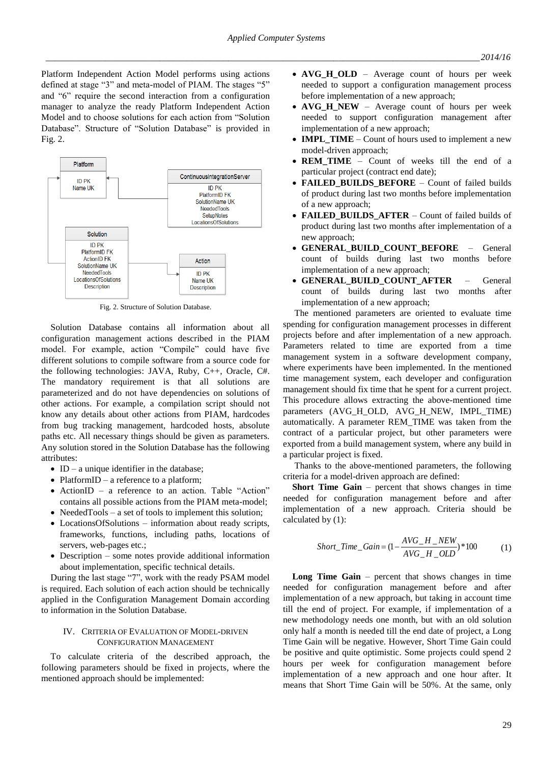Platform Independent Action Model performs using actions defined at stage "3" and meta-model of PIAM. The stages "5" and "6" require the second interaction from a configuration manager to analyze the ready Platform Independent Action Model and to choose solutions for each action from "Solution Database". Structure of "Solution Database" is provided in Fig. 2.



Fig. 2. Structure of Solution Database.

Solution Database contains all information about all configuration management actions described in the PIAM model. For example, action "Compile" could have five different solutions to compile software from a source code for the following technologies: JAVA, Ruby, C++, Oracle, C#. The mandatory requirement is that all solutions are parameterized and do not have dependencies on solutions of other actions. For example, a compilation script should not know any details about other actions from PIAM, hardcodes from bug tracking management, hardcoded hosts, absolute paths etc. All necessary things should be given as parameters. Any solution stored in the Solution Database has the following attributes:

- $\bullet$  ID a unique identifier in the database;
- PlatformID a reference to a platform;
- ActionID a reference to an action. Table "Action" contains all possible actions from the PIAM meta-model;
- NeededTools a set of tools to implement this solution;
- LocationsOfSolutions information about ready scripts, frameworks, functions, including paths, locations of servers, web-pages etc.;
- Description some notes provide additional information about implementation, specific technical details.

During the last stage "7", work with the ready PSAM model is required. Each solution of each action should be technically applied in the Configuration Management Domain according to information in the Solution Database.

### IV. CRITERIA OF EVALUATION OF MODEL-DRIVEN CONFIGURATION MANAGEMENT

To calculate criteria of the described approach, the following parameters should be fixed in projects, where the mentioned approach should be implemented:

- **AVG H OLD** Average count of hours per week needed to support a configuration management process before implementation of a new approach;
- AVG H NEW Average count of hours per week needed to support configuration management after implementation of a new approach;
- **IMPL\_TIME** Count of hours used to implement a new model-driven approach;
- **REM\_TIME** Count of weeks till the end of a particular project (contract end date);
- **FAILED\_BUILDS\_BEFORE** Count of failed builds of product during last two months before implementation of a new approach;
- FAILED BUILDS AFTER Count of failed builds of product during last two months after implementation of a new approach;
- **GENERAL\_BUILD\_COUNT\_BEFORE** General count of builds during last two months before implementation of a new approach;
- **GENERAL\_BUILD\_COUNT\_AFTER** General count of builds during last two months after implementation of a new approach;

The mentioned parameters are oriented to evaluate time spending for configuration management processes in different projects before and after implementation of a new approach. Parameters related to time are exported from a time management system in a software development company, where experiments have been implemented. In the mentioned time management system, each developer and configuration management should fix time that he spent for a current project. This procedure allows extracting the above-mentioned time parameters (AVG\_H\_OLD, AVG\_H\_NEW, IMPL\_TIME) automatically. A parameter REM\_TIME was taken from the contract of a particular project, but other parameters were exported from a build management system, where any build in a particular project is fixed.

Thanks to the above-mentioned parameters, the following criteria for a model-driven approach are defined:

**Short Time Gain** – percent that shows changes in time needed for configuration management before and after implementation of a new approach. Criteria should be calculated by (1):

$$
Short\_Time\_Gain = (1 - \frac{AVG\_H\_NEW}{AVG\_H\_OLD}) * 100
$$
 (1)

**Long Time Gain** – percent that shows changes in time needed for configuration management before and after implementation of a new approach, but taking in account time till the end of project. For example, if implementation of a new methodology needs one month, but with an old solution only half a month is needed till the end date of project, a Long Time Gain will be negative. However, Short Time Gain could be positive and quite optimistic. Some projects could spend 2 hours per week for configuration management before implementation of a new approach and one hour after. It means that Short Time Gain will be 50%. At the same, only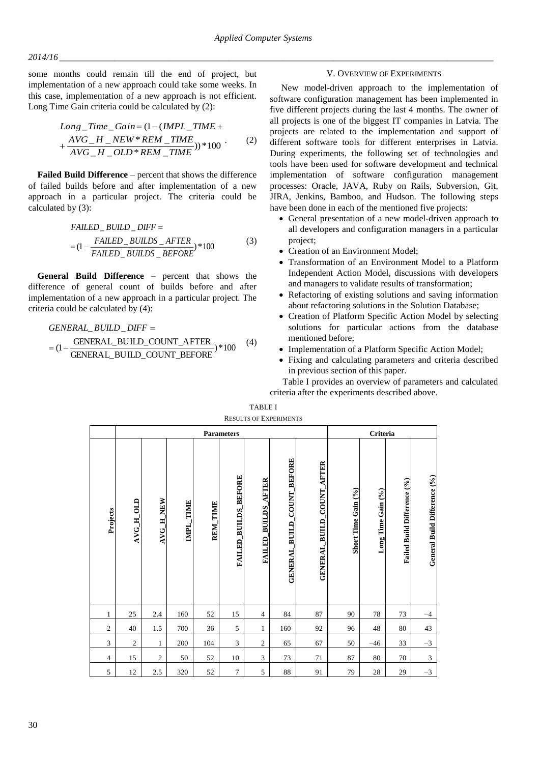some months could remain till the end of project, but implementation of a new approach could take some weeks. In this case, implementation of a new approach is not efficient. Long Time Gain criteria could be calculated by (2):

Long-Time\_Gain = (1-(IMPL\_TIME +  
+
$$
\frac{AVG_H_NEW*REM_TIME}{AVG_H_OLD*REM_TIME})
$$
(\*) (2)

**Failed Build Difference** – percent that shows the difference of failed builds before and after implementation of a new approach in a particular project. The criteria could be calculated by (3):

$$
FAILED \_ BULID \_ DIFF =
$$
  
= (1 - 
$$
\frac{FAILED \_ BULDS \_ AFTER}{FAILED \_ BULIDS \_ BEFORE}) * 100
$$
 (3)

**General Build Difference** – percent that shows the difference of general count of builds before and after implementation of a new approach in a particular project. The criteria could be calculated by (4):

$$
GENERAL_BUILD\_DIFF =
$$
  
=  $(1 - \frac{GENERAL_BUILD\_COUNT\_AFFTER}{GENERAL_BUILD\_COUNT\_BEFORE}) * 100$  (4)

#### V. OVERVIEW OF EXPERIMENTS

New model-driven approach to the implementation of software configuration management has been implemented in five different projects during the last 4 months. The owner of all projects is one of the biggest IT companies in Latvia. The projects are related to the implementation and support of different software tools for different enterprises in Latvia. During experiments, the following set of technologies and tools have been used for software development and technical implementation of software configuration management processes: Oracle, JAVA, Ruby on Rails, Subversion, Git, JIRA, Jenkins, Bamboo, and Hudson. The following steps have been done in each of the mentioned five projects:

- General presentation of a new model-driven approach to all developers and configuration managers in a particular project;
- Creation of an Environment Model;
- Transformation of an Environment Model to a Platform Independent Action Model, discussions with developers and managers to validate results of transformation;
- Refactoring of existing solutions and saving information about refactoring solutions in the Solution Database;
- Creation of Platform Specific Action Model by selecting solutions for particular actions from the database mentioned before;
- Implementation of a Platform Specific Action Model;
- Fixing and calculating parameters and criteria described in previous section of this paper.

Table I provides an overview of parameters and calculated criteria after the experiments described above.

| <b>RESULTS OF EXPERIMENTS</b> |                                     |                  |           |                          |                             |                                      |                                                       |                                     |                     |                    |                             |                              |
|-------------------------------|-------------------------------------|------------------|-----------|--------------------------|-----------------------------|--------------------------------------|-------------------------------------------------------|-------------------------------------|---------------------|--------------------|-----------------------------|------------------------------|
|                               | <b>Parameters</b>                   |                  |           |                          |                             |                                      |                                                       |                                     | Criteria            |                    |                             |                              |
| Projects                      | 01D<br>$\blacksquare$<br><b>AVG</b> | <b>AVG_H_NEW</b> | IMPL_TIME | TIME<br>REM <sub>.</sub> | <b>FAILED_BUILDS_BEFORE</b> | <b>AFTER</b><br><b>FAILED_BUILDS</b> | <b>BEFORE</b><br><b>BUILD COUNT</b><br><b>GENERAL</b> | <b>AFTER</b><br>GENERAL_BUILD_COUNT | Short Time Gain (%) | Long Time Gain (%) | Failed Build Difference (%) | General Build Difference (%) |
| 1                             | $25\,$                              | 2.4              | 160       | 52                       | 15                          | $\overline{4}$                       | 84                                                    | 87                                  | 90                  | 78                 | 73                          | $-4$                         |
| $\mathfrak{2}$                | 40                                  | 1.5              | 700       | 36                       | 5                           | $\mathbf{1}$                         | 160                                                   | 92                                  | 96                  | 48                 | 80                          | 43                           |
| 3                             | $\overline{2}$                      | $\mathbf{1}$     | 200       | 104                      | 3                           | $\overline{2}$                       | 65                                                    | 67                                  | 50                  | $-46$              | 33                          | $-3$                         |
| $\overline{4}$                | 15                                  | $\overline{2}$   | 50        | 52                       | 10                          | 3                                    | 73                                                    | 71                                  | 87                  | 80                 | 70                          | 3                            |
| 5                             | 12                                  | 2.5              | 320       | 52                       | $\overline{7}$              | 5                                    | 88                                                    | 91                                  | 79                  | 28                 | 29                          | $-3$                         |

TABLE I RESULTS OF EXPERIMENTS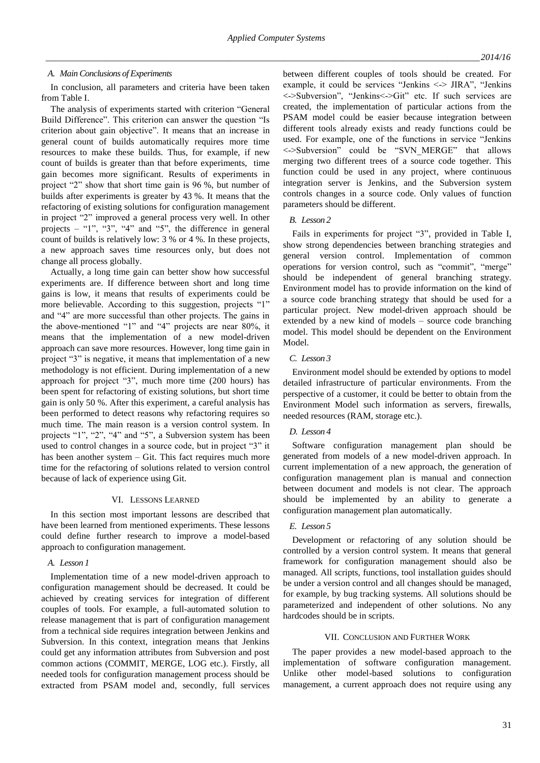#### *A. Main Conclusions of Experiments*

In conclusion, all parameters and criteria have been taken from Table I.

The analysis of experiments started with criterion "General Build Difference". This criterion can answer the question "Is criterion about gain objective". It means that an increase in general count of builds automatically requires more time resources to make these builds. Thus, for example, if new count of builds is greater than that before experiments, time gain becomes more significant. Results of experiments in project "2" show that short time gain is 96 %, but number of builds after experiments is greater by 43 %. It means that the refactoring of existing solutions for configuration management in project "2" improved a general process very well. In other projects – "1", "3", "4" and "5", the difference in general count of builds is relatively low: 3 % or 4 %. In these projects, a new approach saves time resources only, but does not change all process globally.

Actually, a long time gain can better show how successful experiments are. If difference between short and long time gains is low, it means that results of experiments could be more believable. According to this suggestion, projects "1" and "4" are more successful than other projects. The gains in the above-mentioned "1" and "4" projects are near 80%, it means that the implementation of a new model-driven approach can save more resources. However, long time gain in project "3" is negative, it means that implementation of a new methodology is not efficient. During implementation of a new approach for project "3", much more time (200 hours) has been spent for refactoring of existing solutions, but short time gain is only 50 %. After this experiment, a careful analysis has been performed to detect reasons why refactoring requires so much time. The main reason is a version control system. In projects "1", "2", "4" and "5", a Subversion system has been used to control changes in a source code, but in project "3" it has been another system – Git. This fact requires much more time for the refactoring of solutions related to version control because of lack of experience using Git.

# VI. LESSONS LEARNED

In this section most important lessons are described that have been learned from mentioned experiments. These lessons could define further research to improve a model-based approach to configuration management.

# *A. Lesson 1*

Implementation time of a new model-driven approach to configuration management should be decreased. It could be achieved by creating services for integration of different couples of tools. For example, a full-automated solution to release management that is part of configuration management from a technical side requires integration between Jenkins and Subversion. In this context, integration means that Jenkins could get any information attributes from Subversion and post common actions (COMMIT, MERGE, LOG etc.). Firstly, all needed tools for configuration management process should be extracted from PSAM model and, secondly, full services

between different couples of tools should be created. For example, it could be services "Jenkins <-> JIRA", "Jenkins <->Subversion", "Jenkins<->Git" etc. If such services are created, the implementation of particular actions from the PSAM model could be easier because integration between different tools already exists and ready functions could be used. For example, one of the functions in service "Jenkins <->Subversion" could be "SVN\_MERGE" that allows merging two different trees of a source code together. This function could be used in any project, where continuous integration server is Jenkins, and the Subversion system controls changes in a source code. Only values of function parameters should be different.

#### *B. Lesson 2*

Fails in experiments for project "3", provided in Table I, show strong dependencies between branching strategies and general version control. Implementation of common operations for version control, such as "commit", "merge" should be independent of general branching strategy. Environment model has to provide information on the kind of a source code branching strategy that should be used for a particular project. New model-driven approach should be extended by a new kind of models – source code branching model. This model should be dependent on the Environment Model.

#### *C. Lesson 3*

Environment model should be extended by options to model detailed infrastructure of particular environments. From the perspective of a customer, it could be better to obtain from the Environment Model such information as servers, firewalls, needed resources (RAM, storage etc.).

# *D. Lesson 4*

Software configuration management plan should be generated from models of a new model-driven approach. In current implementation of a new approach, the generation of configuration management plan is manual and connection between document and models is not clear. The approach should be implemented by an ability to generate a configuration management plan automatically.

## *E. Lesson 5*

Development or refactoring of any solution should be controlled by a version control system. It means that general framework for configuration management should also be managed. All scripts, functions, tool installation guides should be under a version control and all changes should be managed, for example, by bug tracking systems. All solutions should be parameterized and independent of other solutions. No any hardcodes should be in scripts.

#### VII. CONCLUSION AND FURTHER WORK

The paper provides a new model-based approach to the implementation of software configuration management. Unlike other model-based solutions to configuration management, a current approach does not require using any